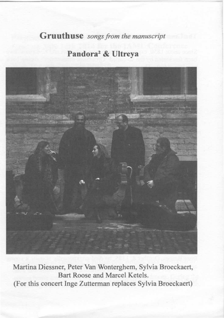# *Gruuthuse songs from the manuscript*

# **Pandora2 & Ultreya**



**Martina Diessner, Peter Van Wonterghem, Sylvia Broeckaert, Bart Roose and Marcel Ketels. (For this concert Inge Zutterman replaces Sylvia Broeckaert)**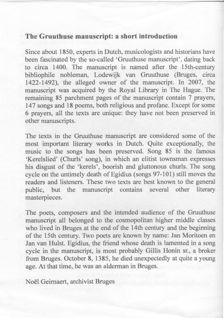#### **The Gruuthuse manuscript: a short introduction**

Since about 1850, experts in Dutch, musicologists and historians have been fascinated by the so-called 'Gruuthuse manuscript', dating back to circa 1400. The manuscript is named after the 15th-century bibliophile nobleman, Lodewijk van Gruuthuse (Bruges, circa 1422-1492), the alleged owner of the manuscript. In 2007, the manuscript was acquired by the Royal Library in The Hague. The remaining 85 parchment pages of the manuscript contain 7 prayers, 147 songs and 18 poems, both religious and profane. Except for some 6 prayers, all the texts are unique: they have not been preserved in other manuscripts.

The texts in the Gruuthuse manuscript are considered some of the most important literary works in Dutch. Quite exceptionally, the music to the songs has been preserved. Song 85 is the famous `Kerelslied' (Churls' song), in which an elitist townsman expresses his disgust of the 'kerels', boorish and gluttonous churls. The song cycle on the untimely death of Egidius (songs 97-101) still moves the readers and listeners. These two texts are best known to the general public, but the manuscript contains several other literary masterpieces.

The poets, composers and the intended audience of the Gruuthuse manuscript all belonged to the cosmopolitan higher middle classes who lived in Bruges at the end of the 14th century and the beginning of the 15th century. Two poets are known by name: Jan Moritoen en Jan van Hulst. Egidius, the friend whose death is lamented in a song cycle in the manuscript, is most probably Gillis Honin sr., a broker from Bruges. October 8, 1385, he died unexpectedly at quite a young age. At that time, he was an alderman in Bruges.

Noël Geirnaert, archivist Bruges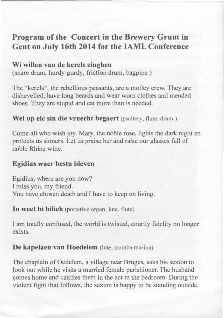# **Program of the Concert in the Brewery Gruut in Gent on July 16th 2014 for the IAML Conference**

## **Wi willen van de kerels zinghen**

(snare drum, hurdy-gurdy, friction drum, bagpipe )

The "kerels", the rebellious peasants, are a motley crew. They are dishevelled, have long beards and wear worn clothes and mended shoes. They are stupid and eat more than is needed.

### **Wel up elc sin die vruecht begaert (psaltery, flute, drum )**

Come all who wish joy. Mary, the noble rose, lights the dark night en protects us sinners. Let us praise her and raise our glasses full of noble Rhine wine.

### **Egidius waer bestu bleven**

Egidius, where are you now? I miss you, my friend. You have chosen death and I have to keep on living.

**In weet bi bilich** (portative organ, lute, flute)

I am totally confused, the world is twisted, courtly fidelity no longer exists.

### **De kapelaen van Hoedelem (lute, tromba marina)**

The chaplain of Oedelem, a village near Bruges, asks his sexton to look out while he visits a married female parishioner. The husband comes home and catches them in the act in the bedroom. During the violent fight that follows, the sexton is happy to be standing outside.